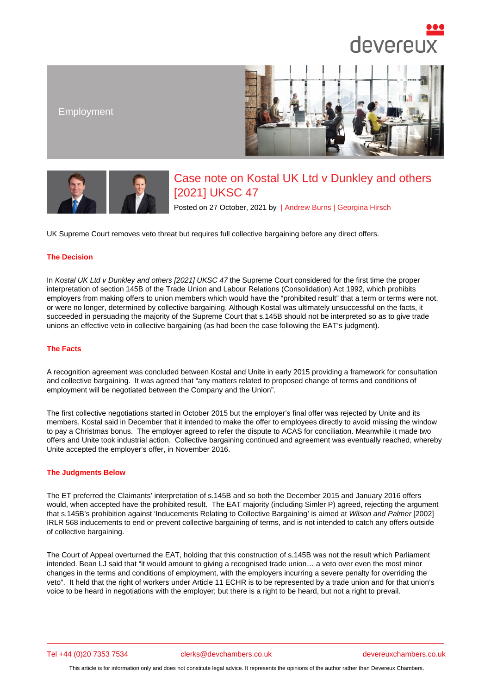# Employment

# Case note on Kostal UK Ltd v Dunkley and others [2021] UKSC 47

Posted on 27 October, 2021 by | Andrew Burns | Georgina Hirsch

UK Supreme Court removes veto threat but requires full collective bargaining before any direct offers.

### The Decision

In Kostal UK Ltd v Dunkley and others [2021] UKSC 47 the Supreme Court considered for the first time the proper interpretation of section 145B of the Trade Union and Labour Relations (Consolidation) Act 1992, which prohibits employers from making offers to union members which would have the "prohibited result" that a term or terms were not, or were no longer, determined by collective bargaining. Although Kostal was ultimately unsuccessful on the facts, it su[cceeded in persuading the majority of the Supreme C](https://www.devereuxchambers.co.uk/assets/docs/news/uksc-2019-0153-judgment.pdf)ourt that s.145B should not be interpreted so as to give trade unions an effective veto in collective bargaining (as had been the case following the EAT's judgment).

### The Facts

A recognition agreement was concluded between Kostal and Unite in early 2015 providing a framework for consultation and collective bargaining. It was agreed that "any matters related to proposed change of terms and conditions of employment will be negotiated between the Company and the Union".

The first collective negotiations started in October 2015 but the employer's final offer was rejected by Unite and its members. Kostal said in December that it intended to make the offer to employees directly to avoid missing the window to pay a Christmas bonus. The employer agreed to refer the dispute to ACAS for conciliation. Meanwhile it made two offers and Unite took industrial action. Collective bargaining continued and agreement was eventually reached, whereby Unite accepted the employer's offer, in November 2016.

#### The Judgments Below

The ET preferred the Claimants' interpretation of s.145B and so both the December 2015 and January 2016 offers would, when accepted have the prohibited result. The EAT majority (including Simler P) agreed, rejecting the argument that s.145B's prohibition against 'Inducements Relating to Collective Bargaining' is aimed at Wilson and Palmer [2002] IRLR 568 inducements to end or prevent collective bargaining of terms, and is not intended to catch any offers outside of collective bargaining.

The Court of Appeal overturned the EAT, holding that this construction of s.145B was not the result which Parliament intended. Bean LJ said that "it would amount to giving a recognised trade union… a veto over even the most minor changes in the terms and conditions of employment, with the employers incurring a severe penalty for overriding the veto". It held that the right of workers under Article 11 ECHR is to be represented by a trade union and for that union's voice to be heard in negotiations with the employer; but there is a right to be heard, but not a right to prevail.

Tel +44 (0)20 7353 7534 clerks@devchambers.co.uk devereuxchambers.co.uk

This article is for information only and does not constitute legal advice. It represents the opinions of the author rather than Devereux Chambers.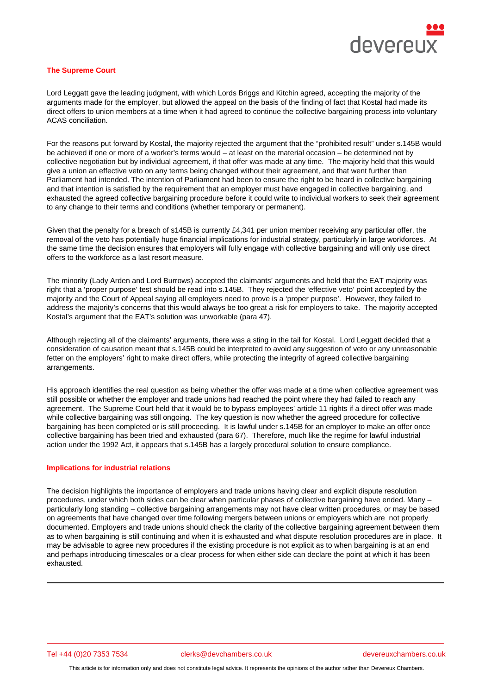#### The Supreme Court

Lord Leggatt gave the leading judgment, with which Lords Briggs and Kitchin agreed, accepting the majority of the arguments made for the employer, but allowed the appeal on the basis of the finding of fact that Kostal had made its direct offers to union members at a time when it had agreed to continue the collective bargaining process into voluntary ACAS conciliation.

For the reasons put forward by Kostal, the majority rejected the argument that the "prohibited result" under s.145B would be achieved if one or more of a worker's terms would – at least on the material occasion – be determined not by collective negotiation but by individual agreement, if that offer was made at any time. The majority held that this would give a union an effective veto on any terms being changed without their agreement, and that went further than Parliament had intended. The intention of Parliament had been to ensure the right to be heard in collective bargaining and that intention is satisfied by the requirement that an employer must have engaged in collective bargaining, and exhausted the agreed collective bargaining procedure before it could write to individual workers to seek their agreement to any change to their terms and conditions (whether temporary or permanent).

Given that the penalty for a breach of s145B is currently £4,341 per union member receiving any particular offer, the removal of the veto has potentially huge financial implications for industrial strategy, particularly in large workforces. At the same time the decision ensures that employers will fully engage with collective bargaining and will only use direct offers to the workforce as a last resort measure.

The minority (Lady Arden and Lord Burrows) accepted the claimants' arguments and held that the EAT majority was right that a 'proper purpose' test should be read into s.145B. They rejected the 'effective veto' point accepted by the majority and the Court of Appeal saying all employers need to prove is a 'proper purpose'. However, they failed to address the majority's concerns that this would always be too great a risk for employers to take. The majority accepted Kostal's argument that the EAT's solution was unworkable (para 47).

Although rejecting all of the claimants' arguments, there was a sting in the tail for Kostal. Lord Leggatt decided that a consideration of causation meant that s.145B could be interpreted to avoid any suggestion of veto or any unreasonable fetter on the employers' right to make direct offers, while protecting the integrity of agreed collective bargaining arrangements.

His approach identifies the real question as being whether the offer was made at a time when collective agreement was still possible or whether the employer and trade unions had reached the point where they had failed to reach any agreement. The Supreme Court held that it would be to bypass employees' article 11 rights if a direct offer was made while collective bargaining was still ongoing. The key question is now whether the agreed procedure for collective bargaining has been completed or is still proceeding. It is lawful under s.145B for an employer to make an offer once collective bargaining has been tried and exhausted (para 67). Therefore, much like the regime for lawful industrial action under the 1992 Act, it appears that s.145B has a largely procedural solution to ensure compliance.

## Implications for industrial relations

The decision highlights the importance of employers and trade unions having clear and explicit dispute resolution procedures, under which both sides can be clear when particular phases of collective bargaining have ended. Many – particularly long standing – collective bargaining arrangements may not have clear written procedures, or may be based on agreements that have changed over time following mergers between unions or employers which are not properly documented. Employers and trade unions should check the clarity of the collective bargaining agreement between them as to when bargaining is still continuing and when it is exhausted and what dispute resolution procedures are in place. It may be advisable to agree new procedures if the existing procedure is not explicit as to when bargaining is at an end and perhaps introducing timescales or a clear process for when either side can declare the point at which it has been exhausted.

Tel +44 (0)20 7353 7534 clerks@devchambers.co.uk devereuxchambers.co.uk

This article is for information only and does not constitute legal advice. It represents the opinions of the author rather than Devereux Chambers.